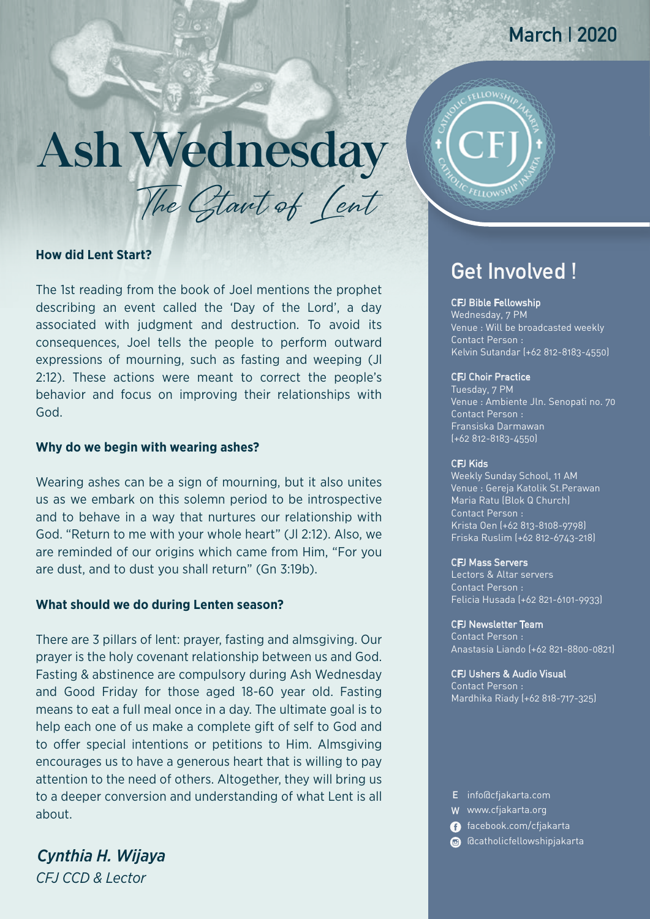## **March | 2020**

# AshWednesday

The Glant of Cent

#### **How did Lent Start?**

The 1st reading from the book of Joel mentions the prophet describing an event called the 'Day of the Lord', a day associated with judgment and destruction. To avoid its consequences, Joel tells the people to perform outward expressions of mourning, such as fasting and weeping (Jl 2:12). These actions were meant to correct the people's behavior and focus on improving their relationships with God.

#### **Why do we begin with wearing ashes?**

Wearing ashes can be a sign of mourning, but it also unites us as we embark on this solemn period to be introspective and to behave in a way that nurtures our relationship with God. "Return to me with your whole heart" (Jl 2:12). Also, we are reminded of our origins which came from Him, "For you are dust, and to dust you shall return" (Gn 3:19b).

#### **What should we do during Lenten season?**

There are 3 pillars of lent: prayer, fasting and almsgiving. Our prayer is the holy covenant relationship between us and God. Fasting & abstinence are compulsory during Ash Wednesday and Good Friday for those aged 18-60 year old. Fasting means to eat a full meal once in a day. The ultimate goal is to help each one of us make a complete gift of self to God and to offer special intentions or petitions to Him. Almsgiving encourages us to have a generous heart that is willing to pay attention to the need of others. Altogether, they will bring us to a deeper conversion and understanding of what Lent is all about.

*CFJ CCD & Lector Cynthia H. Wijaya*



### **Get Involved !**

#### CFJ Bible Fellowship

Wednesday, 7 PM Venue : Will be broadcasted weekly Contact Person : Kelvin Sutandar (+62 812-8183-4550)

#### CFJ Choir Practice

Tuesday, 7 PM Venue : Ambiente Jln. Senopati no. 70 Contact Person : Fransiska Darmawan (+62 812-8183-4550)

#### CFJ Kids

Weekly Sunday School, 11 AM Venue : Gereja Katolik St.Perawan Contact Person : Krista Oen (+62 813-8108-9798) Friska Ruslim (+62 812-6743-218) Maria Ratu (Blok Q Church)

#### CFJ Mass Servers

Lectors & Altar servers Contact Person : Felicia Husada (+62 821-6101-9933)

#### CFJ Newsletter Team

Contact Person : Anastasia Liando (+62 821-8800-0821)

#### CFJ Ushers & Audio Visual

Contact Person : Mardhika Riady (+62 818-717-325)

- **E** info@cfjakarta.com
- **W** www.cfjakarta.org
- facebook.com/cfjakarta
- @catholicfellowshipjakarta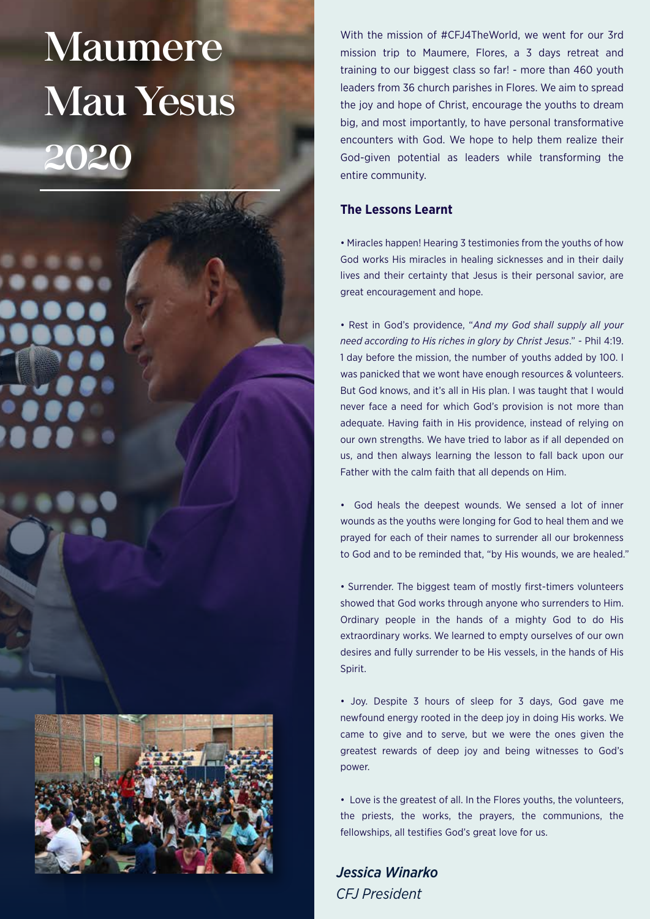# Maumere Mau Yesus 2020

With the mission of #CFJ4TheWorld, we went for our 3rd mission trip to Maumere, Flores, a 3 days retreat and training to our biggest class so far! - more than 460 youth leaders from 36 church parishes in Flores. We aim to spread the joy and hope of Christ, encourage the youths to dream big, and most importantly, to have personal transformative encounters with God. We hope to help them realize their God-given potential as leaders while transforming the entire community.

#### **The Lessons Learnt**

• Miracles happen! Hearing 3 testimonies from the youths of how God works His miracles in healing sicknesses and in their daily lives and their certainty that Jesus is their personal savior, are great encouragement and hope.

• Rest in God's providence, "*And my God shall supply all your need according to His riches in glory by Christ Jesus*." - Phil 4:19. 1 day before the mission, the number of youths added by 100. I was panicked that we wont have enough resources & volunteers. But God knows, and it's all in His plan. I was taught that I would never face a need for which God's provision is not more than adequate. Having faith in His providence, instead of relying on our own strengths. We have tried to labor as if all depended on us, and then always learning the lesson to fall back upon our Father with the calm faith that all depends on Him.

• God heals the deepest wounds. We sensed a lot of inner wounds as the youths were longing for God to heal them and we prayed for each of their names to surrender all our brokenness to God and to be reminded that, "by His wounds, we are healed."

• Surrender. The biggest team of mostly first-timers volunteers showed that God works through anyone who surrenders to Him. Ordinary people in the hands of a mighty God to do His extraordinary works. We learned to empty ourselves of our own desires and fully surrender to be His vessels, in the hands of His Spirit.

• Joy. Despite 3 hours of sleep for 3 days, God gave me newfound energy rooted in the deep joy in doing His works. We came to give and to serve, but we were the ones given the greatest rewards of deep joy and being witnesses to God's power.

• Love is the greatest of all. In the Flores youths, the volunteers, the priests, the works, the prayers, the communions, the fellowships, all testifies God's great love for us.

*CFJ President Jessica Winarko*

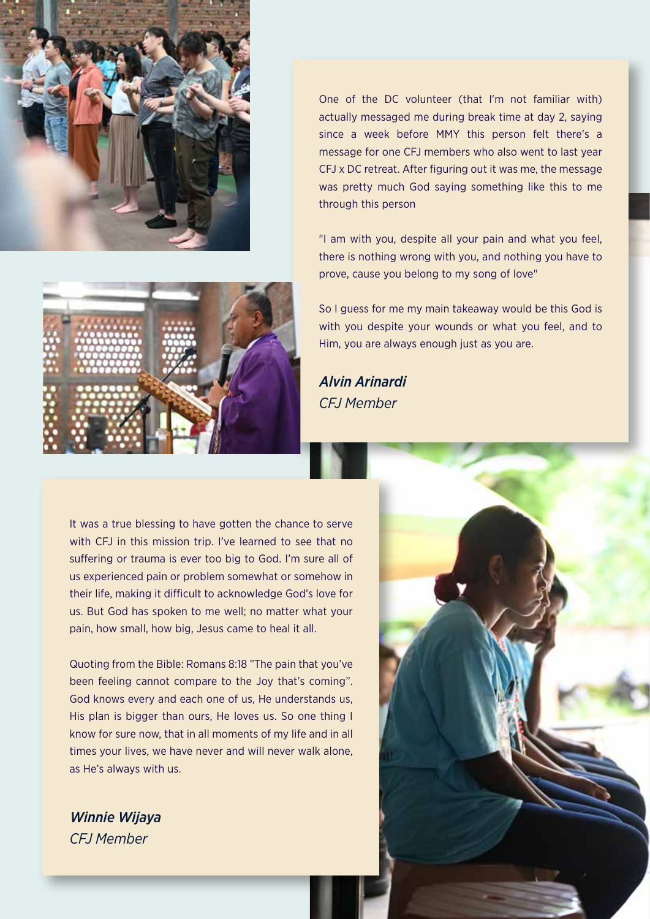

One of the DC volunteer (that I'm not familiar with) actually messaged me during break time at day 2, saying since a week before MMY this person felt there's a message for one CFJ members who also went to last year CFJ x DC retreat. After figuring out it was me, the message was pretty much God saying something like this to me through this person

"I am with you, despite all your pain and what you feel, there is nothing wrong with you, and nothing you have to prove, cause you belong to my song of love"



So I guess for me my main takeaway would be this God is with you despite your wounds or what you feel, and to Him, you are always enough just as you are.

*CFJ Member Alvin Arinardi*

It was a true blessing to have gotten the chance to serve with CFJ in this mission trip. I've learned to see that no suffering or trauma is ever too big to God. I'm sure all of us experienced pain or problem somewhat or somehow in their life, making it difficult to acknowledge God's love for us. But God has spoken to me well; no matter what your pain, how small, how big, Jesus came to heal it all.

Quoting from the Bible: Romans 8:18 "The pain that you've been feeling cannot compare to the Joy that's coming". God knows every and each one of us, He understands us, His plan is bigger than ours, He loves us. So one thing I know for sure now, that in all moments of my life and in all times your lives, we have never and will never walk alone, as He's always with us.

*CFJ Member Winnie Wijaya*

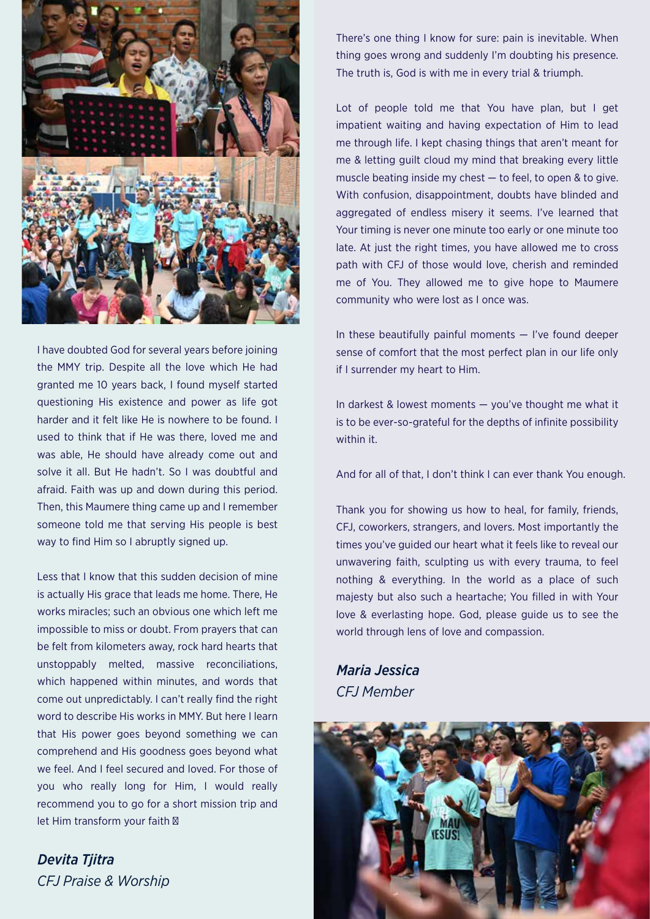

I have doubted God for several years before joining the MMY trip. Despite all the love which He had granted me 10 years back, I found myself started questioning His existence and power as life got harder and it felt like He is nowhere to be found. I used to think that if He was there, loved me and was able, He should have already come out and solve it all. But He hadn't. So I was doubtful and afraid. Faith was up and down during this period. Then, this Maumere thing came up and I remember someone told me that serving His people is best way to find Him so I abruptly signed up.

Less that I know that this sudden decision of mine is actually His grace that leads me home. There, He works miracles; such an obvious one which left me impossible to miss or doubt. From prayers that can be felt from kilometers away, rock hard hearts that unstoppably melted, massive reconciliations, which happened within minutes, and words that come out unpredictably. I can't really find the right word to describe His works in MMY. But here I learn that His power goes beyond something we can comprehend and His goodness goes beyond what we feel. And I feel secured and loved. For those of you who really long for Him, I would really recommend you to go for a short mission trip and let Him transform your faith

*CFJ Praise & Worship Devita Tjitra*

There's one thing I know for sure: pain is inevitable. When thing goes wrong and suddenly I'm doubting his presence. The truth is, God is with me in every trial & triumph.

Lot of people told me that You have plan, but I get impatient waiting and having expectation of Him to lead me through life. I kept chasing things that aren't meant for me & letting guilt cloud my mind that breaking every little muscle beating inside my chest — to feel, to open & to give. With confusion, disappointment, doubts have blinded and aggregated of endless misery it seems. I've learned that Your timing is never one minute too early or one minute too late. At just the right times, you have allowed me to cross path with CFJ of those would love, cherish and reminded me of You. They allowed me to give hope to Maumere community who were lost as I once was.

In these beautifully painful moments  $-$  I've found deeper sense of comfort that the most perfect plan in our life only if I surrender my heart to Him.

In darkest & lowest moments — you've thought me what it is to be ever-so-grateful for the depths of infinite possibility within it.

And for all of that, I don't think I can ever thank You enough.

Thank you for showing us how to heal, for family, friends, CFJ, coworkers, strangers, and lovers. Most importantly the times you've guided our heart what it feels like to reveal our unwavering faith, sculpting us with every trauma, to feel nothing & everything. In the world as a place of such majesty but also such a heartache; You filled in with Your love & everlasting hope. God, please guide us to see the world through lens of love and compassion.

*CFJ Member Maria Jessica*

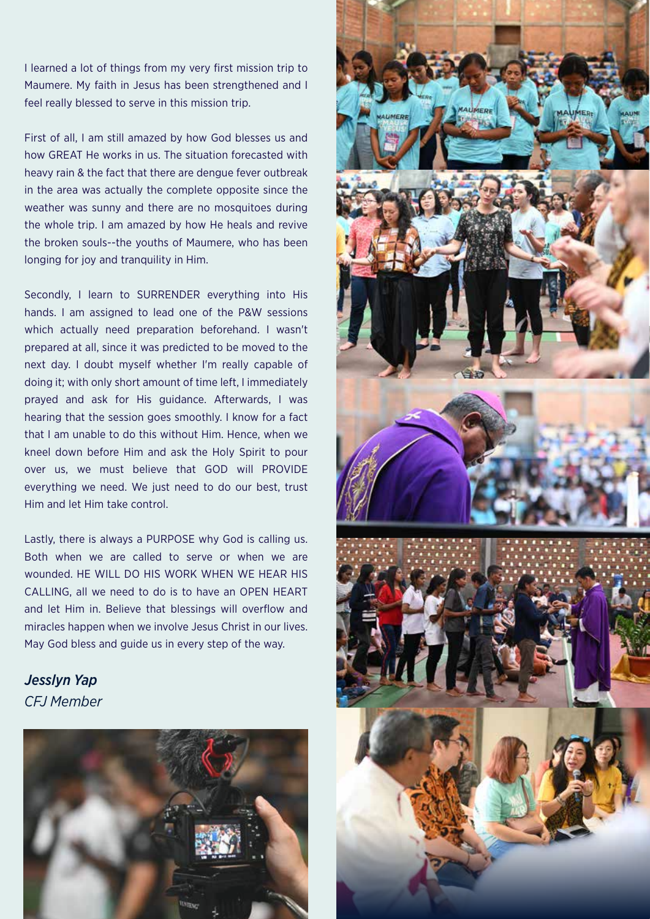I learned a lot of things from my very first mission trip to Maumere. My faith in Jesus has been strengthened and I feel really blessed to serve in this mission trip.

First of all, I am still amazed by how God blesses us and how GREAT He works in us. The situation forecasted with heavy rain & the fact that there are dengue fever outbreak in the area was actually the complete opposite since the weather was sunny and there are no mosquitoes during the whole trip. I am amazed by how He heals and revive the broken souls--the youths of Maumere, who has been longing for joy and tranquility in Him.

Secondly, I learn to SURRENDER everything into His hands. I am assigned to lead one of the P&W sessions which actually need preparation beforehand. I wasn't prepared at all, since it was predicted to be moved to the next day. I doubt myself whether I'm really capable of doing it; with only short amount of time left, I immediately prayed and ask for His guidance. Afterwards, I was hearing that the session goes smoothly. I know for a fact that I am unable to do this without Him. Hence, when we kneel down before Him and ask the Holy Spirit to pour over us, we must believe that GOD will PROVIDE everything we need. We just need to do our best, trust Him and let Him take control.

Lastly, there is always a PURPOSE why God is calling us. Both when we are called to serve or when we are wounded. HE WILL DO HIS WORK WHEN WE HEAR HIS CALLING, all we need to do is to have an OPEN HEART and let Him in. Believe that blessings will overflow and miracles happen when we involve Jesus Christ in our lives. May God bless and guide us in every step of the way.

*CFJ Member Jesslyn Yap*



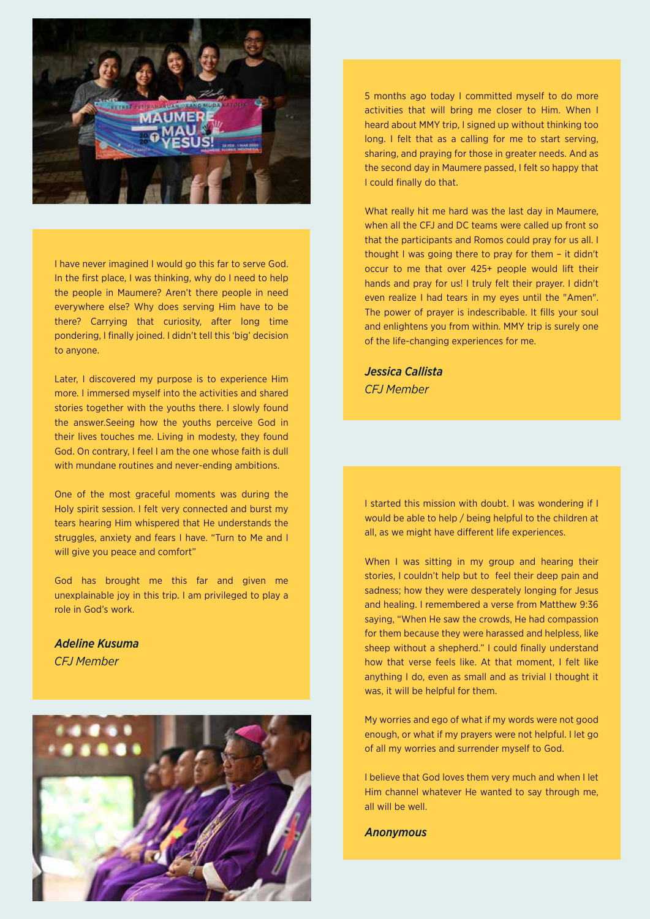

I have never imagined I would go this far to serve God. In the first place, I was thinking, why do I need to help the people in Maumere? Aren't there people in need everywhere else? Why does serving Him have to be there? Carrying that curiosity, after long time pondering, I finally joined. I didn't tell this 'big' decision to anyone.

Later, I discovered my purpose is to experience Him more. I immersed myself into the activities and shared stories together with the youths there. I slowly found the answer.Seeing how the youths perceive God in their lives touches me. Living in modesty, they found God. On contrary, I feel I am the one whose faith is dull with mundane routines and never-ending ambitions.

One of the most graceful moments was during the Holy spirit session. I felt very connected and burst my tears hearing Him whispered that He understands the struggles, anxiety and fears I have. "Turn to Me and I will give you peace and comfort"

God has brought me this far and given me unexplainable joy in this trip. I am privileged to play a role in God's work.

*CFJ Member Adeline Kusuma*



5 months ago today I committed myself to do more activities that will bring me closer to Him. When I heard about MMY trip, I signed up without thinking too long. I felt that as a calling for me to start serving, sharing, and praying for those in greater needs. And as the second day in Maumere passed, I felt so happy that I could finally do that.

What really hit me hard was the last day in Maumere, when all the CFJ and DC teams were called up front so that the participants and Romos could pray for us all. I thought I was going there to pray for them – it didn't occur to me that over 425+ people would lift their hands and pray for us! I truly felt their prayer. I didn't even realize I had tears in my eyes until the "Amen". The power of prayer is indescribable. It fills your soul and enlightens you from within. MMY trip is surely one of the life-changing experiences for me.

*CFJ Member Jessica Callista*

I started this mission with doubt. I was wondering if I would be able to help / being helpful to the children at all, as we might have different life experiences.

When I was sitting in my group and hearing their stories, I couldn't help but to feel their deep pain and sadness; how they were desperately longing for Jesus and healing. I remembered a verse from Matthew 9:36 saying, "When He saw the crowds, He had compassion for them because they were harassed and helpless, like sheep without a shepherd." I could finally understand how that verse feels like. At that moment, I felt like anything I do, even as small and as trivial I thought it was, it will be helpful for them.

My worries and ego of what if my words were not good enough, or what if my prayers were not helpful. I let go of all my worries and surrender myself to God.

I believe that God loves them very much and when I let Him channel whatever He wanted to say through me, all will be well.

*Anonymous*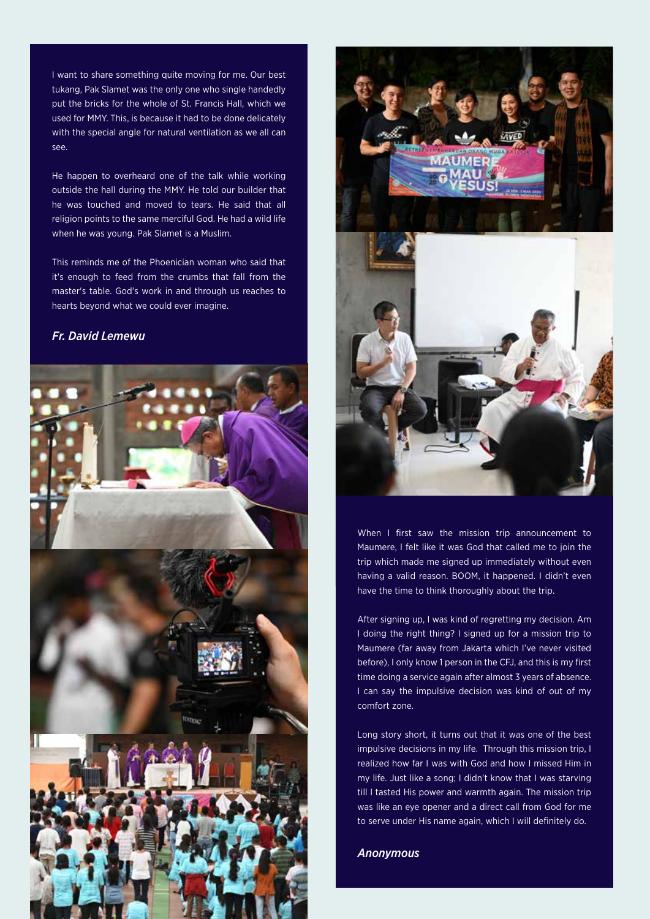I want to share something quite moving for me. Our best tukang, Pak Slamet was the only one who single handedly put the bricks for the whole of St. Francis Hall, which we used for MMY. This, is because it had to be done delicately with the special angle for natural ventilation as we all can see.

He happen to overheard one of the talk while working outside the hall during the MMY. He told our builder that he was touched and moved to tears. He said that all religion points to the same merciful God. He had a wild life when he was young. Pak Slamet is a Muslim.

This reminds me of the Phoenician woman who said that it's enough to feed from the crumbs that fall from the master's table. God's work in and through us reaches to hearts beyond what we could ever imagine.

#### *Fr. David Lemewu*





When I first saw the mission trip announcement to Maumere, I felt like it was God that called me to join the trip which made me signed up immediately without even having a valid reason. BOOM, it happened. I didn't even have the time to think thoroughly about the trip.

After signing up, I was kind of regretting my decision. Am I doing the right thing? I signed up for a mission trip to Maumere (far away from Jakarta which I've never visited before), I only know 1 person in the CFJ, and this is my first time doing a service again after almost 3 years of absence. I can say the impulsive decision was kind of out of my comfort zone.

Long story short, it turns out that it was one of the best impulsive decisions in my life. Through this mission trip, I realized how far I was with God and how I missed Him in my life. Just like a song; I didn't know that I was starving till I tasted His power and warmth again. The mission trip was like an eye opener and a direct call from God for me to serve under His name again, which I will definitely do.

*Anonymous*